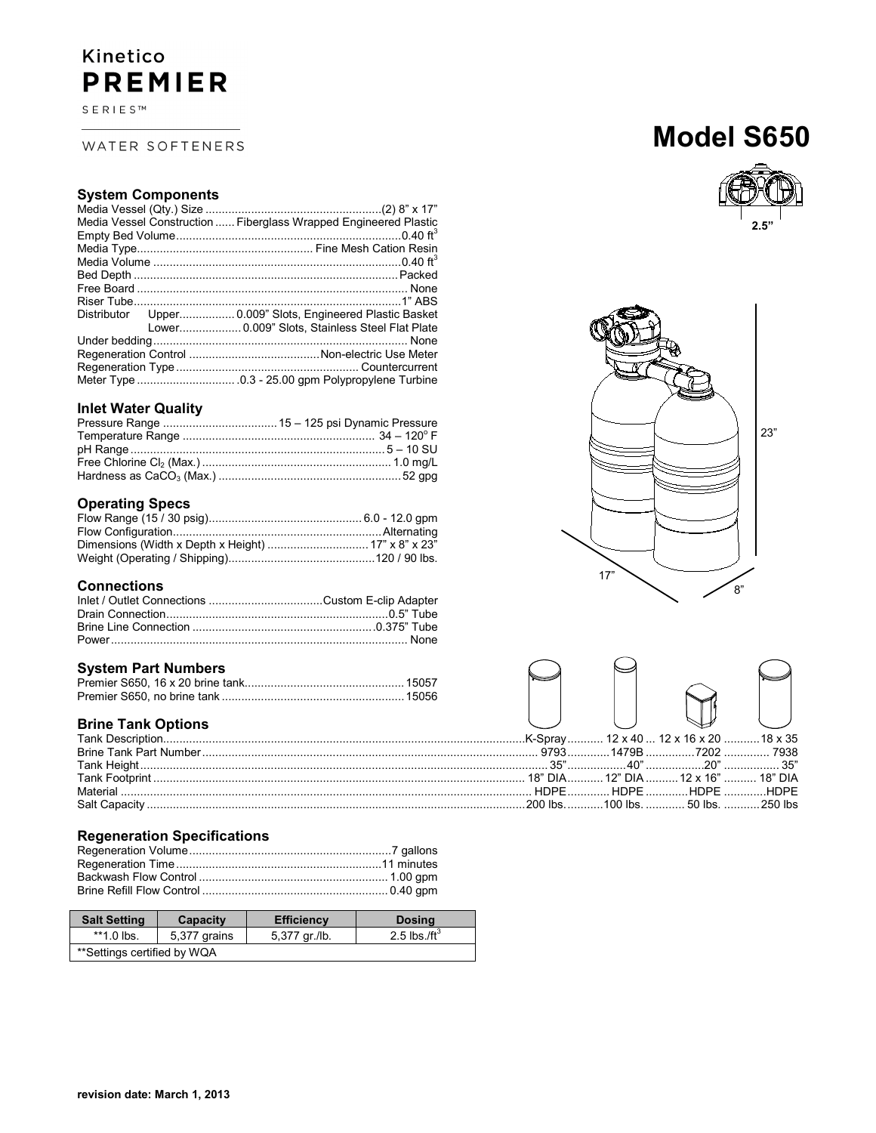## Kinetico **PREMIER**

 $S \to R \mid E \mid S \mid^m$ 

### WATER SOFTENERS

### **System Components**

|  | Media Vessel Construction  Fiberglass Wrapped Engineered Plastic |
|--|------------------------------------------------------------------|
|  |                                                                  |
|  |                                                                  |
|  |                                                                  |
|  |                                                                  |
|  |                                                                  |
|  |                                                                  |
|  |                                                                  |
|  | Lower 0.009" Slots, Stainless Steel Flat Plate                   |
|  |                                                                  |
|  |                                                                  |
|  |                                                                  |
|  |                                                                  |
|  |                                                                  |

### **Inlet Water Quality**

### **Operating Specs**

### **Connections**

### **System Part Numbers**

### **Brine Tank Options**

### **Regeneration Specifications**

| <b>Salt Setting</b>         | Capacity     | <b>Efficiency</b> | <b>Dosing</b>    |
|-----------------------------|--------------|-------------------|------------------|
| $*1.0$ lbs.                 | 5,377 grains | 5,377 gr./lb.     | 2.5 lbs./ft $^3$ |
| **Settings certified by WQA |              |                   |                  |

## **Model S650**